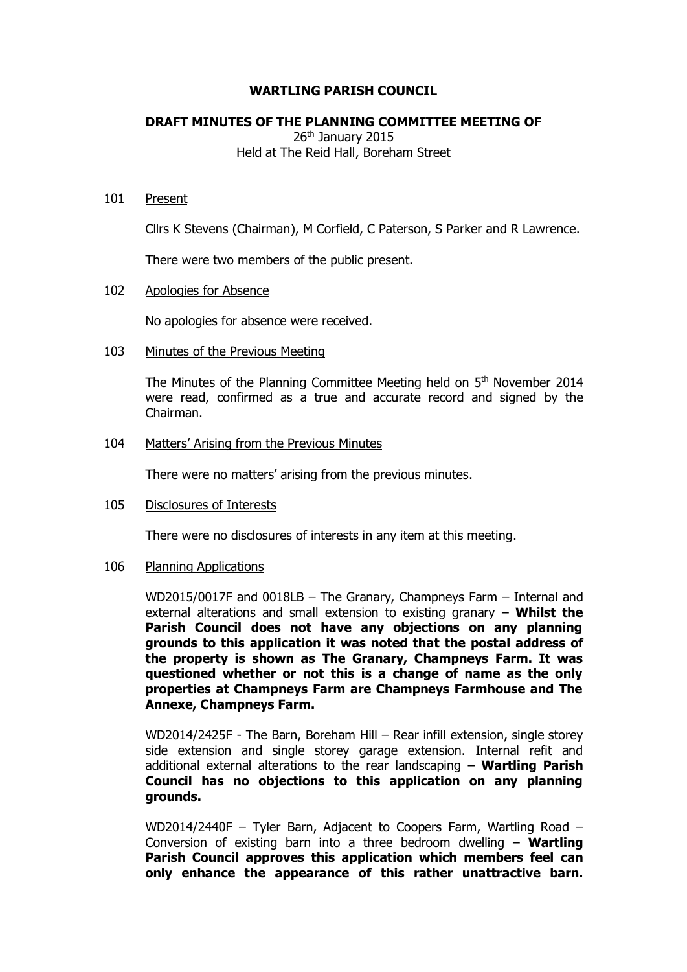## **WARTLING PARISH COUNCIL**

## **DRAFT MINUTES OF THE PLANNING COMMITTEE MEETING OF**

26<sup>th</sup> January 2015 Held at The Reid Hall, Boreham Street

#### 101 Present

Cllrs K Stevens (Chairman), M Corfield, C Paterson, S Parker and R Lawrence.

There were two members of the public present.

#### 102 Apologies for Absence

No apologies for absence were received.

#### 103 Minutes of the Previous Meeting

The Minutes of the Planning Committee Meeting held on 5<sup>th</sup> November 2014 were read, confirmed as a true and accurate record and signed by the Chairman.

#### 104 Matters' Arising from the Previous Minutes

There were no matters' arising from the previous minutes.

#### 105 Disclosures of Interests

There were no disclosures of interests in any item at this meeting.

#### 106 Planning Applications

WD2015/0017F and 0018LB – The Granary, Champneys Farm – Internal and external alterations and small extension to existing granary – **Whilst the Parish Council does not have any objections on any planning grounds to this application it was noted that the postal address of the property is shown as The Granary, Champneys Farm. It was questioned whether or not this is a change of name as the only properties at Champneys Farm are Champneys Farmhouse and The Annexe, Champneys Farm.**

WD2014/2425F - The Barn, Boreham Hill – Rear infill extension, single storey side extension and single storey garage extension. Internal refit and additional external alterations to the rear landscaping – **Wartling Parish Council has no objections to this application on any planning grounds.**

WD2014/2440F – Tyler Barn, Adjacent to Coopers Farm, Wartling Road – Conversion of existing barn into a three bedroom dwelling – **Wartling Parish Council approves this application which members feel can only enhance the appearance of this rather unattractive barn.**